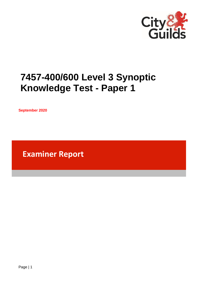

# **7457-400/600 Level 3 Synoptic Knowledge Test - Paper 1**

**September 2020**

**Examiner Report**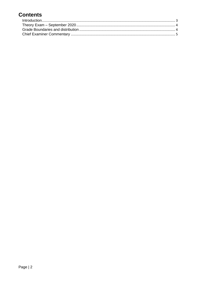# **Contents**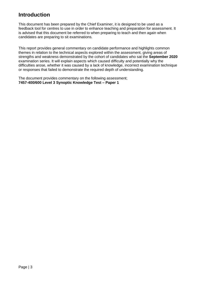### <span id="page-2-0"></span>**Introduction**

This document has been prepared by the Chief Examiner, it is designed to be used as a feedback tool for centres to use in order to enhance teaching and preparation for assessment. It is advised that this document be referred to when preparing to teach and then again when candidates are preparing to sit examinations.

This report provides general commentary on candidate performance and highlights common themes in relation to the technical aspects explored within the assessment, giving areas of strengths and weakness demonstrated by the cohort of candidates who sat the **September 2020** examination series. It will explain aspects which caused difficulty and potentially why the difficulties arose, whether it was caused by a lack of knowledge, incorrect examination technique or responses that failed to demonstrate the required depth of understanding.

The document provides commentary on the following assessment; **7457-400/600 Level 3 Synoptic Knowledge Test – Paper 1**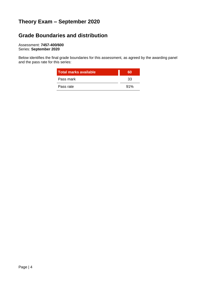# <span id="page-3-0"></span>**Theory Exam – September 2020**

# <span id="page-3-1"></span>**Grade Boundaries and distribution**

Assessment: **7457-400/600** Series: **September 2020**

Below identifies the final grade boundaries for this assessment, as agreed by the awarding panel and the pass rate for this series:

| <b>Total marks available</b> | 60  |
|------------------------------|-----|
| Pass mark                    | 33  |
| Pass rate                    | 91% |